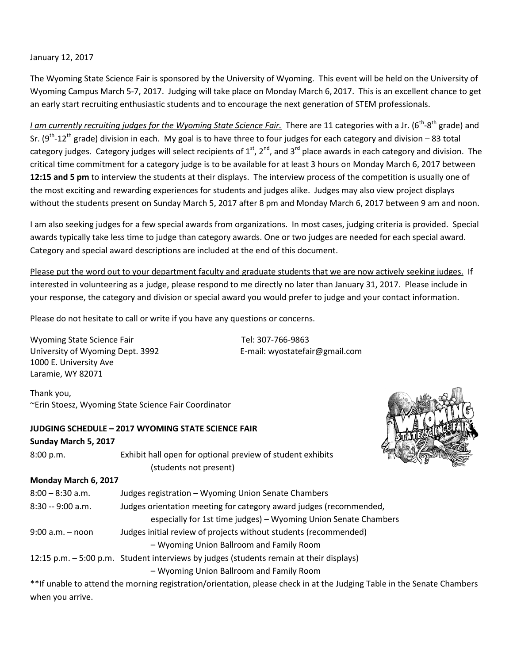January 12, 2017

The Wyoming State Science Fair is sponsored by the University of Wyoming. This event will be held on the University of Wyoming Campus March 5-7, 2017. Judging will take place on Monday March 6, 2017. This is an excellent chance to get an early start recruiting enthusiastic students and to encourage the next generation of STEM professionals.

*I am currently recruiting judges for the Wyoming State Science Fair.* There are 11 categories with a Jr. (6<sup>th</sup>-8<sup>th</sup> grade) and Sr. ( $9<sup>th</sup>$ -12<sup>th</sup> grade) division in each. My goal is to have three to four judges for each category and division – 83 total category judges. Category judges will select recipients of  $1^{st}$ ,  $2^{nd}$ , and  $3^{rd}$  place awards in each category and division. The critical time commitment for a category judge is to be available for at least 3 hours on Monday March 6, 2017 between **12:15 and 5 pm** to interview the students at their displays. The interview process of the competition is usually one of the most exciting and rewarding experiences for students and judges alike. Judges may also view project displays without the students present on Sunday March 5, 2017 after 8 pm and Monday March 6, 2017 between 9 am and noon.

I am also seeking judges for a few special awards from organizations. In most cases, judging criteria is provided. Special awards typically take less time to judge than category awards. One or two judges are needed for each special award. Category and special award descriptions are included at the end of this document.

Please put the word out to your department faculty and graduate students that we are now actively seeking judges. If interested in volunteering as a judge, please respond to me directly no later than January 31, 2017. Please include in your response, the category and division or special award you would prefer to judge and your contact information.

Please do not hesitate to call or write if you have any questions or concerns.

| Wyoming State Science Fair       | Tel: 307-766-9863              |  |
|----------------------------------|--------------------------------|--|
| University of Wyoming Dept. 3992 | E-mail: wyostatefair@gmail.com |  |
| 1000 E. University Ave           |                                |  |
| Laramie, WY 82071                |                                |  |

Thank you, ~Erin Stoesz, Wyoming State Science Fair Coordinator

### **JUDGING SCHEDULE – 2017 WYOMING STATE SCIENCE FAIR**

#### **Sunday March 5, 2017**

| 8:00 p.m.            | Exhibit hall open for optional preview of student exhibits |
|----------------------|------------------------------------------------------------|
|                      | (students not present)                                     |
| Monday March 6, 2017 |                                                            |
| 8:00 – 8:30 a.m.     | Judges registration – Wyoming Union Senate Chambers        |
|                      |                                                            |

| 8:30 -- 9:00 a.m.    | Judges orientation meeting for category award judges (recommended,                      |
|----------------------|-----------------------------------------------------------------------------------------|
|                      | especially for 1st time judges) - Wyoming Union Senate Chambers                         |
| $9:00$ a.m. $-$ noon | Judges initial review of projects without students (recommended)                        |
|                      | - Wyoming Union Ballroom and Family Room                                                |
|                      | 12:15 p.m. - 5:00 p.m. Student interviews by judges (students remain at their displays) |
|                      | - Wyoming Union Ballroom and Family Room                                                |

\*\*If unable to attend the morning registration/orientation, please check in at the Judging Table in the Senate Chambers when you arrive.

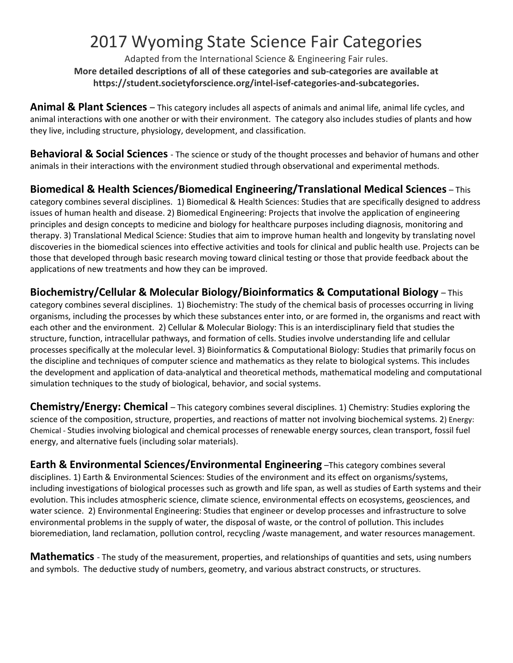## 2017 Wyoming State Science Fair Categories

Adapted from the International Science & Engineering Fair rules. **More detailed descriptions of all of these categories and sub-categories are available at https://student.societyforscience.org/intel-isef-categories-and-subcategories.**

**Animal & Plant Sciences** – This category includes all aspects of animals and animal life, animal life cycles, and animal interactions with one another or with their environment. The category also includes studies of plants and how they live, including structure, physiology, development, and classification.

**Behavioral & Social Sciences** - The science or study of the thought processes and behavior of humans and other animals in their interactions with the environment studied through observational and experimental methods.

**Biomedical & Health Sciences/Biomedical Engineering/Translational Medical Sciences** – This category combines several disciplines. 1) Biomedical & Health Sciences: Studies that are specifically designed to address issues of human health and disease. 2) Biomedical Engineering: Projects that involve the application of engineering principles and design concepts to medicine and biology for healthcare purposes including diagnosis, monitoring and therapy. 3) Translational Medical Science: Studies that aim to improve human health and longevity by translating novel discoveries in the biomedical sciences into effective activities and tools for clinical and public health use. Projects can be those that developed through basic research moving toward clinical testing or those that provide feedback about the applications of new treatments and how they can be improved.

**Biochemistry/Cellular & Molecular Biology/Bioinformatics & Computational Biology** – This category combines several disciplines. 1) Biochemistry: The study of the chemical basis of processes occurring in living organisms, including the processes by which these substances enter into, or are formed in, the organisms and react with each other and the environment. 2) Cellular & Molecular Biology: This is an interdisciplinary field that studies the structure, function, intracellular pathways, and formation of cells. Studies involve understanding life and cellular processes specifically at the molecular level. 3) Bioinformatics & Computational Biology: Studies that primarily focus on the discipline and techniques of computer science and mathematics as they relate to biological systems. This includes the development and application of data-analytical and theoretical methods, mathematical modeling and computational simulation techniques to the study of biological, behavior, and social systems.

**Chemistry/Energy: Chemical** – This category combines several disciplines. 1) Chemistry: Studies exploring the science of the composition, structure, properties, and reactions of matter not involving biochemical systems. 2) Energy: Chemical - Studies involving biological and chemical processes of renewable energy sources, clean transport, fossil fuel energy, and alternative fuels (including solar materials).

**Earth & Environmental Sciences/Environmental Engineering** –This category combines several disciplines. 1) Earth & Environmental Sciences: Studies of the environment and its effect on organisms/systems, including investigations of biological processes such as growth and life span, as well as studies of Earth systems and their evolution. This includes atmospheric science, climate science, environmental effects on ecosystems, geosciences, and water science. 2) Environmental Engineering: Studies that engineer or develop processes and infrastructure to solve environmental problems in the supply of water, the disposal of waste, or the control of pollution. This includes bioremediation, land reclamation, pollution control, recycling /waste management, and water resources management.

**Mathematics** - The study of the measurement, properties, and relationships of quantities and sets, using numbers and symbols. The deductive study of numbers, geometry, and various abstract constructs, or structures.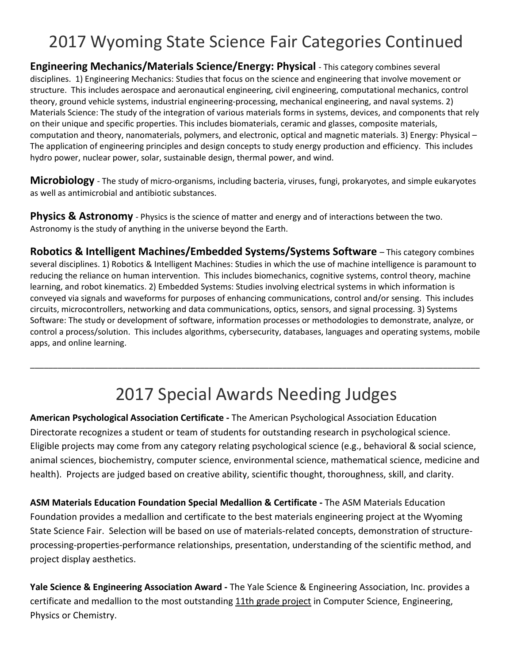# 2017 Wyoming State Science Fair Categories Continued

**Engineering Mechanics/Materials Science/Energy: Physical** - This category combines several disciplines. 1) Engineering Mechanics: Studies that focus on the science and engineering that involve movement or structure. This includes aerospace and aeronautical engineering, civil engineering, computational mechanics, control theory, ground vehicle systems, industrial engineering-processing, mechanical engineering, and naval systems. 2) Materials Science: The study of the integration of various materials forms in systems, devices, and components that rely on their unique and specific properties. This includes biomaterials, ceramic and glasses, composite materials, computation and theory, nanomaterials, polymers, and electronic, optical and magnetic materials. 3) Energy: Physical – The application of engineering principles and design concepts to study energy production and efficiency. This includes hydro power, nuclear power, solar, sustainable design, thermal power, and wind.

**Microbiology** - The study of micro-organisms, including bacteria, viruses, fungi, prokaryotes, and simple eukaryotes as well as antimicrobial and antibiotic substances.

**Physics & Astronomy** - Physics is the science of matter and energy and of interactions between the two. Astronomy is the study of anything in the universe beyond the Earth.

**Robotics & Intelligent Machines/Embedded Systems/Systems Software** – This category combines several disciplines. 1) Robotics & Intelligent Machines: Studies in which the use of machine intelligence is paramount to reducing the reliance on human intervention. This includes biomechanics, cognitive systems, control theory, machine learning, and robot kinematics. 2) Embedded Systems: Studies involving electrical systems in which information is conveyed via signals and waveforms for purposes of enhancing communications, control and/or sensing. This includes circuits, microcontrollers, networking and data communications, optics, sensors, and signal processing. 3) Systems Software: The study or development of software, information processes or methodologies to demonstrate, analyze, or control a process/solution. This includes algorithms, cybersecurity, databases, languages and operating systems, mobile apps, and online learning.

# 2017 Special Awards Needing Judges

\_\_\_\_\_\_\_\_\_\_\_\_\_\_\_\_\_\_\_\_\_\_\_\_\_\_\_\_\_\_\_\_\_\_\_\_\_\_\_\_\_\_\_\_\_\_\_\_\_\_\_\_\_\_\_\_\_\_\_\_\_\_\_\_\_\_\_\_\_\_\_\_\_\_\_\_\_\_\_\_\_\_\_\_\_\_\_\_\_\_\_\_\_\_\_\_\_\_

**American Psychological Association Certificate -** The American Psychological Association Education Directorate recognizes a student or team of students for outstanding research in psychological science. Eligible projects may come from any category relating psychological science (e.g., behavioral & social science, animal sciences, biochemistry, computer science, environmental science, mathematical science, medicine and health). Projects are judged based on creative ability, scientific thought, thoroughness, skill, and clarity.

**ASM Materials Education Foundation Special Medallion & Certificate -** The ASM Materials Education Foundation provides a medallion and certificate to the best materials engineering project at the Wyoming State Science Fair. Selection will be based on use of materials-related concepts, demonstration of structureprocessing-properties-performance relationships, presentation, understanding of the scientific method, and project display aesthetics.

**Yale Science & Engineering Association Award -** The Yale Science & Engineering Association, Inc. provides a certificate and medallion to the most outstanding 11th grade project in Computer Science, Engineering, Physics or Chemistry.